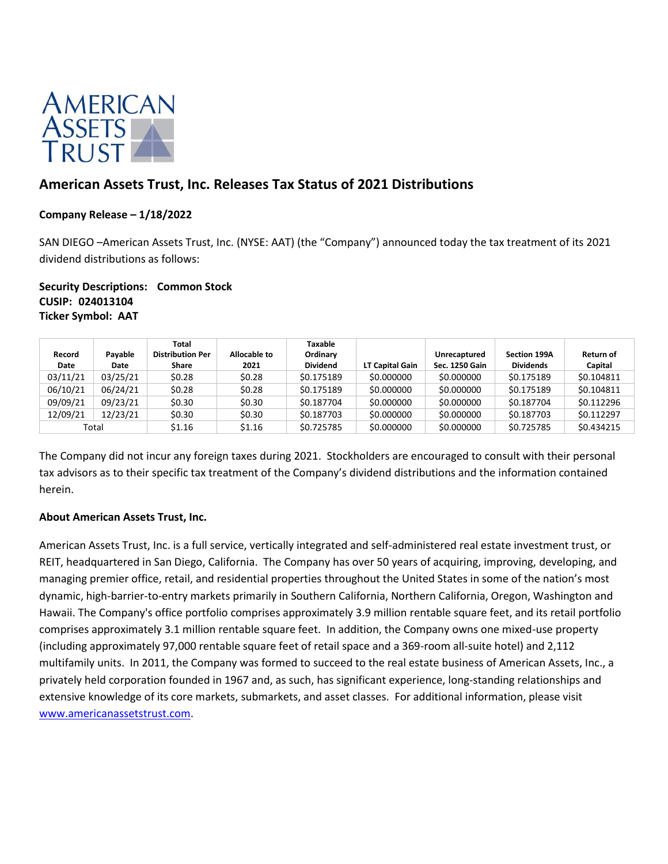

# **American Assets Trust, Inc. Releases Tax Status of 2021 Distributions**

## **Company Release – 1/18/2022**

SAN DIEGO –American Assets Trust, Inc. (NYSE: AAT) (the "Company") announced today the tax treatment of its 2021 dividend distributions as follows:

## **Security Descriptions: Common Stock CUSIP: 024013104 Ticker Symbol: AAT**

| Record<br>Date | Payable<br>Date | Total<br><b>Distribution Per</b><br>Share | Allocable to<br>2021 | Taxable<br>Ordinary<br><b>Dividend</b> | LT Capital Gain | <b>Unrecaptured</b><br>Sec. 1250 Gain | <b>Section 199A</b><br><b>Dividends</b> | Return of<br>Capital |
|----------------|-----------------|-------------------------------------------|----------------------|----------------------------------------|-----------------|---------------------------------------|-----------------------------------------|----------------------|
| 03/11/21       | 03/25/21        | \$0.28                                    | \$0.28               | \$0.175189                             | \$0.000000      | \$0.000000                            | \$0.175189                              | \$0.104811           |
| 06/10/21       | 06/24/21        | \$0.28                                    | \$0.28               | \$0.175189                             | \$0.000000      | \$0.000000                            | \$0.175189                              | \$0.104811           |
| 09/09/21       | 09/23/21        | \$0.30                                    | \$0.30               | \$0.187704                             | \$0.000000      | \$0.000000                            | \$0.187704                              | \$0.112296           |
| 12/09/21       | 12/23/21        | \$0.30                                    | \$0.30               | \$0.187703                             | \$0.000000      | \$0.000000                            | \$0.187703                              | \$0.112297           |
| Total          |                 | \$1.16                                    | \$1.16               | \$0.725785                             | \$0.000000      | \$0.000000                            | \$0.725785                              | \$0.434215           |

The Company did not incur any foreign taxes during 2021. Stockholders are encouraged to consult with their personal tax advisors as to their specific tax treatment of the Company's dividend distributions and the information contained herein.

## **About American Assets Trust, Inc.**

American Assets Trust, Inc. is a full service, vertically integrated and self-administered real estate investment trust, or REIT, headquartered in San Diego, California. The Company has over 50 years of acquiring, improving, developing, and managing premier office, retail, and residential properties throughout the United States in some of the nation's most dynamic, high-barrier-to-entry markets primarily in Southern California, Northern California, Oregon, Washington and Hawaii. The Company's office portfolio comprises approximately 3.9 million rentable square feet, and its retail portfolio comprises approximately 3.1 million rentable square feet. In addition, the Company owns one mixed-use property (including approximately 97,000 rentable square feet of retail space and a 369-room all-suite hotel) and 2,112 multifamily units. In 2011, the Company was formed to succeed to the real estate business of American Assets, Inc., a privately held corporation founded in 1967 and, as such, has significant experience, long-standing relationships and extensive knowledge of its core markets, submarkets, and asset classes. For additional information, please visit [www.americanassetstrust.com.](http://www.americanassetstrust.com/)